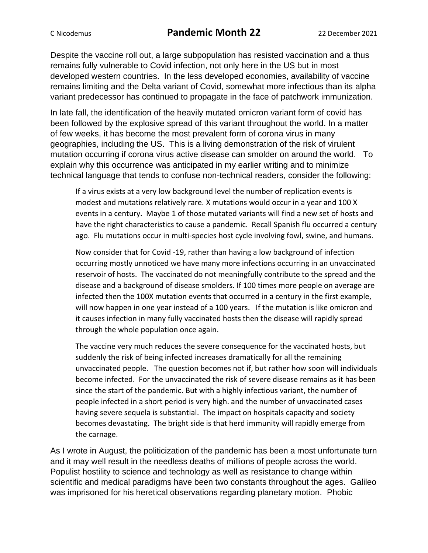## C Nicodemus **Pandemic Month 22** 22 December 2021

Despite the vaccine roll out, a large subpopulation has resisted vaccination and a thus remains fully vulnerable to Covid infection, not only here in the US but in most developed western countries. In the less developed economies, availability of vaccine remains limiting and the Delta variant of Covid, somewhat more infectious than its alpha variant predecessor has continued to propagate in the face of patchwork immunization.

In late fall, the identification of the heavily mutated omicron variant form of covid has been followed by the explosive spread of this variant throughout the world. In a matter of few weeks, it has become the most prevalent form of corona virus in many geographies, including the US. This is a living demonstration of the risk of virulent mutation occurring if corona virus active disease can smolder on around the world. To explain why this occurrence was anticipated in my earlier writing and to minimize technical language that tends to confuse non-technical readers, consider the following:

If a virus exists at a very low background level the number of replication events is modest and mutations relatively rare. X mutations would occur in a year and 100 X events in a century. Maybe 1 of those mutated variants will find a new set of hosts and have the right characteristics to cause a pandemic. Recall Spanish flu occurred a century ago. Flu mutations occur in multi-species host cycle involving fowl, swine, and humans.

Now consider that for Covid -19, rather than having a low background of infection occurring mostly unnoticed we have many more infections occurring in an unvaccinated reservoir of hosts. The vaccinated do not meaningfully contribute to the spread and the disease and a background of disease smolders. If 100 times more people on average are infected then the 100X mutation events that occurred in a century in the first example, will now happen in one year instead of a 100 years. If the mutation is like omicron and it causes infection in many fully vaccinated hosts then the disease will rapidly spread through the whole population once again.

The vaccine very much reduces the severe consequence for the vaccinated hosts, but suddenly the risk of being infected increases dramatically for all the remaining unvaccinated people. The question becomes not if, but rather how soon will individuals become infected. For the unvaccinated the risk of severe disease remains as it has been since the start of the pandemic. But with a highly infectious variant, the number of people infected in a short period is very high. and the number of unvaccinated cases having severe sequela is substantial. The impact on hospitals capacity and society becomes devastating. The bright side is that herd immunity will rapidly emerge from the carnage.

As I wrote in August, the politicization of the pandemic has been a most unfortunate turn and it may well result in the needless deaths of millions of people across the world. Populist hostility to science and technology as well as resistance to change within scientific and medical paradigms have been two constants throughout the ages. Galileo was imprisoned for his heretical observations regarding planetary motion. Phobic